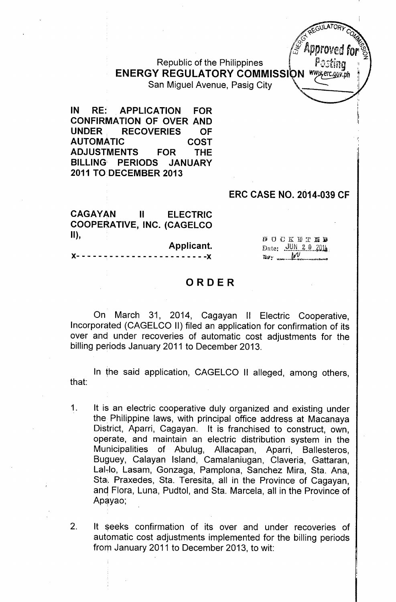Republic of the Philippines 6 *P.Dsting:<sup>1</sup>* ENERGY REGULATORY COMMISSI \ N *~erc.,gQJI~ph <sup>~</sup>* San Miguel Avenue, Pasig City

IN RE: APPLICATION FOR CONFIRMATION OF OVER AND UNDER. RECOVERIES OF AUTOMATIC COST ADJUSTMENTS FOR THE BILLING PERIODS JANUARY 2011 TO DECEMBER 2013

#### ERC CASE NO. 2014-039 CF

**ATORY COMPANY** 

**approved**<br>Pastina

CAGAYAN II ELECTRIC COOPERATIVE, INC. (CAGELCO II),

Applicant. )(- - - - - - - - - - - - - - - - - - - - - - - -)(

BOCKETEB Date: JUN 20 2014  $\mathbb{R}$  .  $\mathbb{M}$ 

## ORDER

On March 31, 2014, Cagayan II Electric Cooperative, Incorporated (CAGELCO II) filed an application for confirmation of its over and under recoveries of automatic cost adjustments for the billing periods January 2011 to December 2013.

In the said application, CAGELCO II alleged, among others, that:

- 1. It is an electric cooperative duly organized and existing under the Philippine laws, with principal office address at Macanaya District, Aparri, Cagayan. It is franchised to construct, own, operate, and maintain an electric distribution system in the Municipalities of Abulug, Allacapan, Aparri, Ballesteros, Buguey, Calayan Island, Camalaniugan, Claveria, Gattaran, Lal-lo, Lasam, Gonzaga, Pamplona, Sanchez Mira, Sta. Ana, Sta. Praxedes, Sta. Teresita, all in the Province of Cagayan, and Flora, Luna, Pudtol, and Sta. Marcela, all in the Province of Apayao;
- 2. It seeks confirmation of its over and under recoveries of automatic cost adjustments implemented for the billing periods from January 2011 to December 2013, to wit: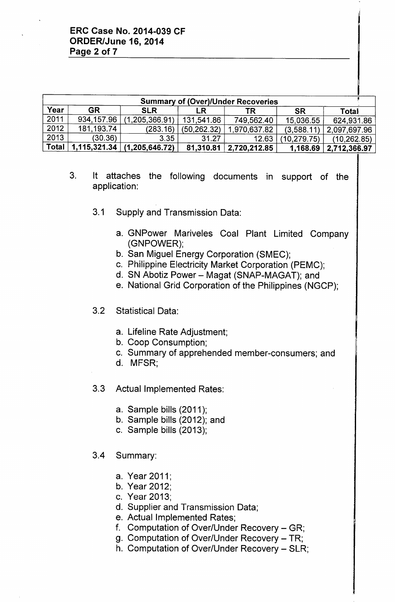| <b>Summary of (Over)/Under Recoveries</b> |              |                                    |               |              |             |              |  |
|-------------------------------------------|--------------|------------------------------------|---------------|--------------|-------------|--------------|--|
| Year                                      | <b>GR</b>    | <b>SLR</b>                         | LR.           | TR.          | <b>SR</b>   | Total        |  |
| 2011                                      | 934,157.96   | (1, 205, 366.91)                   | 131,541.86    | 749,562.40   | 15,036.55   | 624,931.86   |  |
| 2012                                      | 181, 193. 74 | (283.16)                           | (50, 262, 32) | 1,970,637.82 | (3,588,11)  | 2,097,697.96 |  |
| 2013                                      | (30.36)      | 3.35                               | 31.27         | 12.63        | (10,279.75) | (10, 262.85) |  |
| <b>Total</b>                              |              | $1,115,321.34 \mid (1,205,646.72)$ | 81,310.81     | 2,720,212.85 | 1,168.69    | 2,712,366.97 |  |

- 3. It attaches the following documents in support of the application:
	- 3.1 Supply and Transmission Data:
		- a. GNPower Mariveles Coal Plant Limited Company (GNPOWER);
		- b. San Miguel Energy Corporation (SMEC);
		- c. Philippine Electricity Market Corporation (PEMC);
		- d. SN Abotiz Power Magat (SNAP-MAGAT); and
		- e. National Grid Corporation of the Philippines (NGCP);
	- 3.2 Statistical Data:
		- a. Lifeline Rate Adjustment;
		- b. Coop Consumption;
		- c. Summary of apprehended member-consumers; and
		- d. MFSR;
	- 3.3 Actual Implemented Rates:
		- a. Sample bills (2011);
		- b. Sample bills (2012); and
		- c. Sample bills (2013);
	- 3.4 Summary:
		- a. Year 2011;
		- b. Year 2012;
		- c. Year 2013;
		- d. Supplier and Transmission Data;
		- e. Actual Implemented Rates;
		- f. Computation of Over/Under Recovery GR;
		- g. Computation of Over/Under Recovery TR;
		- h. Computation of Over/Under Recovery SLR;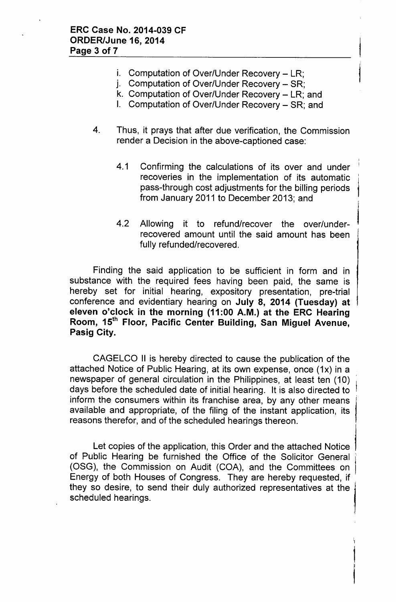- i. Computation of Over/Under Recovery  $-$  LR;
- j. Computation of Over/Under Recovery SR;
- k. Computation of Over/Under Recovery LR; and
- I. Computation of Over/Under Recovery SR; and
- 4. Thus, it prays that after due verification, the Commission render a Decision in the above-captioned case:
	- 4.1 Confirming the calculations of its over and under recoveries in the implementation of its automatic pass-through cost adjustments for the billing periods from January 2011 to December 2013; and
	- 4.2 Allowing it to refund/recover the over/underrecovered amount until the said amount has been fully refunded/recovered.

Finding the said application to be sufficient in form and in substance with the required fees having been paid, the same is hereby set for initial hearing, expository presentation, pre-trial conference and evidentiary hearing on July 8, 2014 (Tuesday) at eleven o'clock in the morning (11:00 A.M.) at the ERC Hearing Room, 15<sup>th</sup> Floor, Pacific Center Building, San Miguel Avenue, Pasig City.

CAGELCO II is hereby directed to cause the publication of the attached Notice of Public Hearing, at its own expense, once (1x) in a newspaper of general circulation in the Philippines, at least ten (10) days before the scheduled date of initial hearing. It is also directed to inform the consumers within its franchise area, by any other means available and appropriate, of the filing of the instant application, its reasons therefor, and of the scheduled hearings thereon.

Let copies of the application, this Order and the attached Notice of Public Hearing be furnished the Office of the Solicitor General (OSG), the Commission on Audit (COA), and the Committees on Energy of both Houses of Congress. They are hereby requested, if , they so desire, to send their duly authorized representatives at the ' scheduled hearings.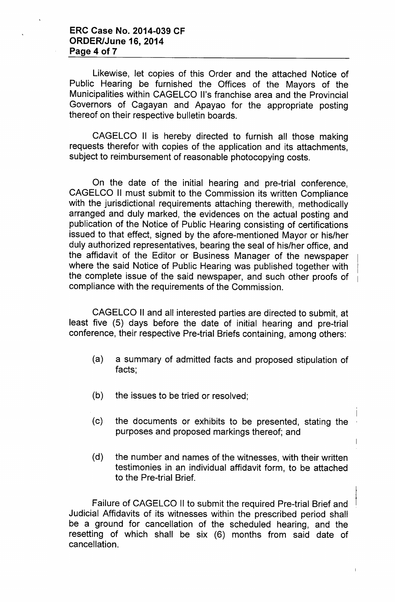# ERC Case No. 2014-039 CF ORDER/June 16, 2014 Page 4 of 7

Likewise, let copies of this Order and the attached Notice of Public Hearing be furnished the Offices of the Mayors of the Municipalities within CAGELCO II's franchise area and the Provincial Governors of Cagayan and Apayao for the appropriate posting thereof on their respective bulletin boards.

CAGELCO II is hereby directed to furnish all those making requests therefor with copies of the application and its attachments, subject to reimbursement of reasonable photocopying costs.

On the date of the initial hearing and pre-trial conference, CAGELCO II must submit to the Commission its written Compliance with the jurisdictional requirements attaching therewith, methodically arranged and duly marked, the evidences on the actual posting and publication of the Notice of Public Hearing consisting of certifications issued to that effect, signed by the afore-mentioned Mayor or his/her duly authorized representatives, bearing the seal of his/her office, and the affidavit of the Editor or Business Manager of the newspaper where the said Notice of Public Hearing was published together with the complete issue of the said newspaper, and such other proofs of compliance with the requirements of the Commission.

CAGELCO II and all interested parties are directed to submit, at least five (5) days before the date of initial hearing and pre-trial conference, their respective Pre-trial Briefs containing, among others:

- (a) a summary of admitted facts and proposed stipulation of facts;
- (b) the issues to be tried or resolved;
- (c) the documents or exhibits to be presented, stating the purposes and proposed markings thereof; and

 $\mathsf{I}$ 

 $\begin{array}{c} \rule{0pt}{2.5ex} \rule{0pt}{2.5ex} \rule{0pt}{2.5ex} \rule{0pt}{2.5ex} \rule{0pt}{2.5ex} \rule{0pt}{2.5ex} \rule{0pt}{2.5ex} \rule{0pt}{2.5ex} \rule{0pt}{2.5ex} \rule{0pt}{2.5ex} \rule{0pt}{2.5ex} \rule{0pt}{2.5ex} \rule{0pt}{2.5ex} \rule{0pt}{2.5ex} \rule{0pt}{2.5ex} \rule{0pt}{2.5ex} \rule{0pt}{2.5ex} \rule{0pt}{2.5ex} \rule{0pt}{2.5ex} \rule{0$ 

(d) the number and names of the witnesses, with their written testimonies in an individual affidavit form, to be attached to the Pre-trial Brief.

Failure of CAGELCO II to submit the required Pre-trial Brief and Judicial Affidavits of its witnesses within the prescribed period shall be a ground for cancellation of the scheduled hearing, and the resetting of which shall be six (6) months from said date of cancellation.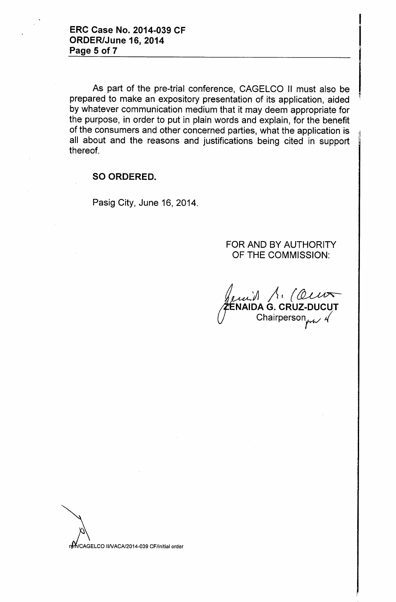As part of the pre-trial conference, CAGELCO II must also be prepared to make an expository presentation of its application, aided by whatever communication medium that it may deem appropriate for the purpose, in order to put in plain words and explain, for the benefit of the consumers and other concerned parties, what the application is all about and the reasons and justifications being cited in support thereof.

### SO ORDERED.

Pasig City, June 16, 2014.

## FOR AND BY AUTHORITY OF THE COMMISSION:

jj $\sqrt{2}$ ENAIDA G. CRUZ-DUCU) Chairperson

//CAGELCO II/VACA/2014-039 CF/initial order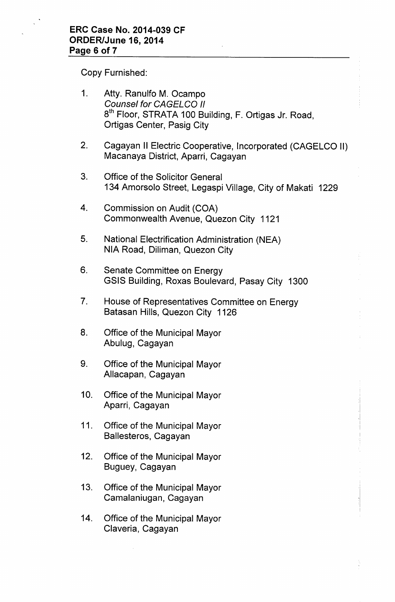Copy Furnished:

| 1.          | Atty. Ranulfo M. Ocampo<br><b>Counsel for CAGELCO II</b><br>8 <sup>th</sup> Floor, STRATA 100 Building, F. Ortigas Jr. Road,<br>Ortigas Center, Pasig City |  |  |  |
|-------------|------------------------------------------------------------------------------------------------------------------------------------------------------------|--|--|--|
| 2.          | Cagayan II Electric Cooperative, Incorporated (CAGELCO II)<br>Macanaya District, Aparri, Cagayan                                                           |  |  |  |
| 3.          | <b>Office of the Solicitor General</b><br>134 Amorsolo Street, Legaspi Village, City of Makati 1229                                                        |  |  |  |
| 4.          | Commission on Audit (COA)<br>Commonwealth Avenue, Quezon City 1121                                                                                         |  |  |  |
| 5.          | National Electrification Administration (NEA)<br>NIA Road, Diliman, Quezon City                                                                            |  |  |  |
| 6.          | Senate Committee on Energy<br>GSIS Building, Roxas Boulevard, Pasay City 1300                                                                              |  |  |  |
| $7_{\cdot}$ | House of Representatives Committee on Energy<br>Batasan Hills, Quezon City 1126                                                                            |  |  |  |
| 8.          | Office of the Municipal Mayor<br>Abulug, Cagayan                                                                                                           |  |  |  |
| 9.          | Office of the Municipal Mayor<br>Allacapan, Cagayan                                                                                                        |  |  |  |
| 10.         | Office of the Municipal Mayor<br>Aparri, Cagayan                                                                                                           |  |  |  |
| 11.         | Office of the Municipal Mayor<br>Ballesteros, Cagayan                                                                                                      |  |  |  |
| 12.         | Office of the Municipal Mayor<br>Buguey, Cagayan                                                                                                           |  |  |  |
| 13.         | Office of the Municipal Mayor<br>Camalaniugan, Cagayan                                                                                                     |  |  |  |
| 14.         | Office of the Municipal Mayor<br>Claveria, Cagayan                                                                                                         |  |  |  |